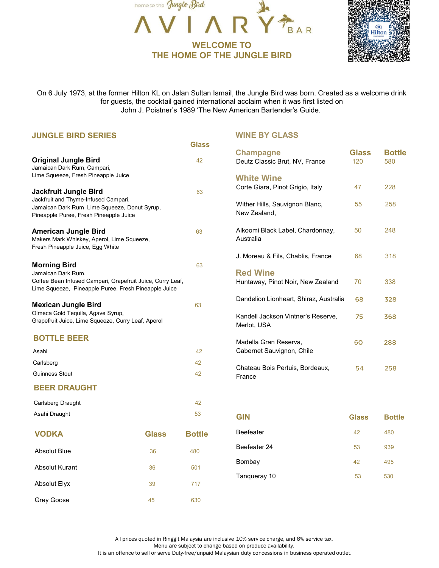



|                                                                                                                                 | home to the Jungle Bird                                                                                            |                   |                                                                                                                                                                                                                                                                           |                     |                      |
|---------------------------------------------------------------------------------------------------------------------------------|--------------------------------------------------------------------------------------------------------------------|-------------------|---------------------------------------------------------------------------------------------------------------------------------------------------------------------------------------------------------------------------------------------------------------------------|---------------------|----------------------|
|                                                                                                                                 |                                                                                                                    |                   | IAR                                                                                                                                                                                                                                                                       |                     | <b>Hilton</b>        |
|                                                                                                                                 |                                                                                                                    | <b>WELCOME TO</b> |                                                                                                                                                                                                                                                                           |                     |                      |
|                                                                                                                                 |                                                                                                                    |                   | THE HOME OF THE JUNGLE BIRD                                                                                                                                                                                                                                               |                     |                      |
|                                                                                                                                 |                                                                                                                    |                   |                                                                                                                                                                                                                                                                           |                     |                      |
|                                                                                                                                 |                                                                                                                    |                   | On 6 July 1973, at the former Hilton KL on Jalan Sultan Ismail, the Jungle Bird was born. Created as a welcome drink<br>for guests, the cocktail gained international acclaim when it was first listed on<br>John J. Poistner's 1989 'The New American Bartender's Guide. |                     |                      |
| <b>JUNGLE BIRD SERIES</b>                                                                                                       |                                                                                                                    |                   | <b>WINE BY GLASS</b>                                                                                                                                                                                                                                                      |                     |                      |
|                                                                                                                                 |                                                                                                                    | <b>Glass</b>      |                                                                                                                                                                                                                                                                           |                     |                      |
| <b>Original Jungle Bird</b><br>Jamaican Dark Rum, Campari,                                                                      |                                                                                                                    | 42                | <b>Champagne</b><br>Deutz Classic Brut, NV, France                                                                                                                                                                                                                        | <b>Glass</b><br>120 | <b>Bottle</b><br>580 |
| Lime Squeeze, Fresh Pineapple Juice                                                                                             |                                                                                                                    |                   | <b>White Wine</b>                                                                                                                                                                                                                                                         |                     |                      |
| Jackfruit Jungle Bird                                                                                                           |                                                                                                                    | 63                | Corte Giara, Pinot Grigio, Italy                                                                                                                                                                                                                                          | 47                  | 228                  |
| Jackfruit and Thyme-Infused Campari,<br>Jamaican Dark Rum, Lime Squeeze, Donut Syrup,<br>Pineapple Puree, Fresh Pineapple Juice |                                                                                                                    |                   | Wither Hills, Sauvignon Blanc,<br>New Zealand,                                                                                                                                                                                                                            | 55                  | 258                  |
| <b>American Jungle Bird</b><br>Makers Mark Whiskey, Aperol, Lime Squeeze,<br>Fresh Pineapple Juice, Egg White                   |                                                                                                                    | 63                | Alkoomi Black Label, Chardonnay,<br>Australia                                                                                                                                                                                                                             | 50                  | 248                  |
|                                                                                                                                 |                                                                                                                    |                   | J. Moreau & Fils, Chablis, France                                                                                                                                                                                                                                         | 68                  | 318                  |
| <b>Morning Bird</b><br>Jamaican Dark Rum,                                                                                       |                                                                                                                    | 63                | <b>Red Wine</b>                                                                                                                                                                                                                                                           |                     |                      |
|                                                                                                                                 | Coffee Bean Infused Campari, Grapefruit Juice, Curry Leaf,<br>Lime Squeeze, Pineapple Puree, Fresh Pineapple Juice |                   | Huntaway, Pinot Noir, New Zealand                                                                                                                                                                                                                                         | 70                  | 338                  |
| <b>Mexican Jungle Bird</b>                                                                                                      |                                                                                                                    | 63                | Dandelion Lionheart, Shiraz, Australia                                                                                                                                                                                                                                    | 68                  | 328                  |
| Olmeca Gold Tequila, Agave Syrup,<br>Grapefruit Juice, Lime Squeeze, Curry Leaf, Aperol                                         |                                                                                                                    |                   | Kandell Jackson Vintner's Reserve,<br>Merlot, USA                                                                                                                                                                                                                         | 75                  | 368                  |
| <b>BOTTLE BEER</b>                                                                                                              |                                                                                                                    |                   | Madella Gran Reserva,                                                                                                                                                                                                                                                     | 60                  | 288                  |
| Asahi                                                                                                                           |                                                                                                                    | 42                | Cabernet Sauvignon, Chile                                                                                                                                                                                                                                                 |                     |                      |
| Carlsberg                                                                                                                       |                                                                                                                    | 42                | Chateau Bois Pertuis, Bordeaux,                                                                                                                                                                                                                                           | 54                  | 258                  |
| <b>Guinness Stout</b>                                                                                                           |                                                                                                                    | 42                | France                                                                                                                                                                                                                                                                    |                     |                      |
| <b>BEER DRAUGHT</b>                                                                                                             |                                                                                                                    |                   |                                                                                                                                                                                                                                                                           |                     |                      |
| Carlsberg Draught                                                                                                               |                                                                                                                    | 42                |                                                                                                                                                                                                                                                                           |                     |                      |
| Asahi Draught                                                                                                                   |                                                                                                                    | 53                | <b>GIN</b>                                                                                                                                                                                                                                                                | <b>Glass</b>        | <b>Bottle</b>        |
| <b>VODKA</b>                                                                                                                    | <b>Glass</b>                                                                                                       | <b>Bottle</b>     | Beefeater                                                                                                                                                                                                                                                                 | 42                  | 480                  |
| Absolut Blue                                                                                                                    | 36                                                                                                                 | 480               | Beefeater 24                                                                                                                                                                                                                                                              | 53                  | 939                  |
|                                                                                                                                 | 36                                                                                                                 | 501               | Bombay                                                                                                                                                                                                                                                                    | 42                  | 495                  |
| <b>Absolut Kurant</b>                                                                                                           |                                                                                                                    |                   | Tanqueray 10                                                                                                                                                                                                                                                              | 53                  | 530                  |
| <b>Absolut Elyx</b>                                                                                                             | 39                                                                                                                 | 717               |                                                                                                                                                                                                                                                                           |                     |                      |

All prices quoted in Ringgit Malaysia are inclusive 10% service charge, and 6% service tax. Menu are subject to change based on produce availability. It is an offence to sell or serve Duty-free/unpaid Malaysian duty concessions in business operated outlet.